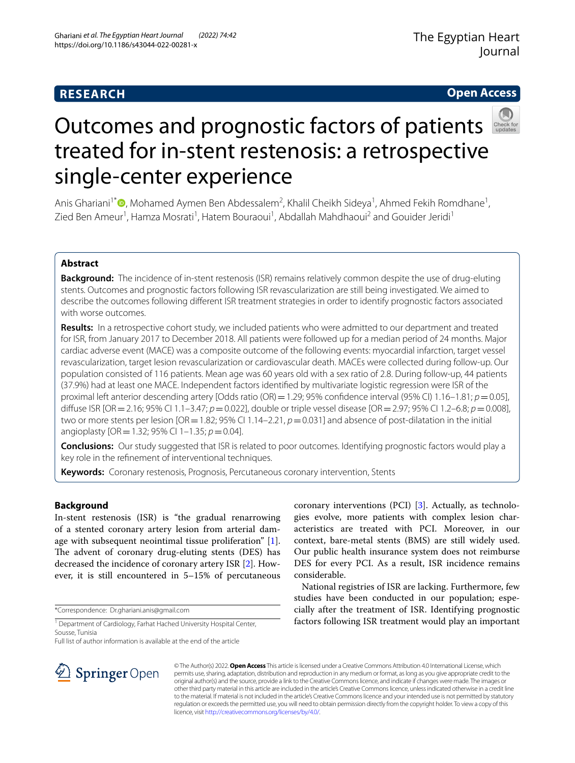# **RESEARCH**

# **Open Access**



# Outcomes and prognostic factors of patients treated for in-stent restenosis: a retrospective single-center experience

Anis Ghariani<sup>1\*</sup> <sup>(D</sup>[,](http://orcid.org/0000-0002-1971-0067) Mohamed Aymen Ben Abdessalem<sup>2</sup>, Khalil Cheikh Sideya<sup>1</sup>, Ahmed Fekih Romdhane<sup>1</sup>, Zied Ben Ameur<sup>1</sup>, Hamza Mosrati<sup>1</sup>, Hatem Bouraoui<sup>1</sup>, Abdallah Mahdhaoui<sup>2</sup> and Gouider Jeridi<sup>1</sup>

# **Abstract**

**Background:** The incidence of in-stent restenosis (ISR) remains relatively common despite the use of drug-eluting stents. Outcomes and prognostic factors following ISR revascularization are still being investigated. We aimed to describe the outcomes following diferent ISR treatment strategies in order to identify prognostic factors associated with worse outcomes.

**Results:** In a retrospective cohort study, we included patients who were admitted to our department and treated for ISR, from January 2017 to December 2018. All patients were followed up for a median period of 24 months. Major cardiac adverse event (MACE) was a composite outcome of the following events: myocardial infarction, target vessel revascularization, target lesion revascularization or cardiovascular death. MACEs were collected during follow-up. Our population consisted of 116 patients. Mean age was 60 years old with a sex ratio of 2.8. During follow-up, 44 patients (37.9%) had at least one MACE. Independent factors identifed by multivariate logistic regression were ISR of the proximal left anterior descending artery [Odds ratio (OR) = 1.29; 95% confidence interval (95% CI) 1.16–1.81; *p* = 0.05], difuse ISR [OR=2.16; 95% CI 1.1–3.47; *p*=0.022], double or triple vessel disease [OR=2.97; 95% CI 1.2–6.8; *p*=0.008], two or more stents per lesion [OR = 1.82; 95% CI 1.14–2.21,  $p = 0.031$ ] and absence of post-dilatation in the initial angioplasty [OR=1.32; 95% CI 1–1.35; *p*=0.04].

**Conclusions:** Our study suggested that ISR is related to poor outcomes. Identifying prognostic factors would play a key role in the refnement of interventional techniques.

**Keywords:** Coronary restenosis, Prognosis, Percutaneous coronary intervention, Stents

# **Background**

In-stent restenosis (ISR) is "the gradual renarrowing of a stented coronary artery lesion from arterial damage with subsequent neointimal tissue proliferation" [\[1](#page-5-0)]. The advent of coronary drug-eluting stents (DES) has decreased the incidence of coronary artery ISR [\[2](#page-5-1)]. However, it is still encountered in 5–15% of percutaneous

\*Correspondence: Dr.ghariani.anis@gmail.com

Full list of author information is available at the end of the article

SpringerOpen

coronary interventions (PCI) [\[3\]](#page-5-2). Actually, as technologies evolve, more patients with complex lesion characteristics are treated with PCI. Moreover, in our context, bare-metal stents (BMS) are still widely used. Our public health insurance system does not reimburse DES for every PCI. As a result, ISR incidence remains considerable.

National registries of ISR are lacking. Furthermore, few studies have been conducted in our population; especially after the treatment of ISR. Identifying prognostic factors following ISR treatment would play an important

© The Author(s) 2022. **Open Access** This article is licensed under a Creative Commons Attribution 4.0 International License, which permits use, sharing, adaptation, distribution and reproduction in any medium or format, as long as you give appropriate credit to the original author(s) and the source, provide a link to the Creative Commons licence, and indicate if changes were made. The images or other third party material in this article are included in the article's Creative Commons licence, unless indicated otherwise in a credit line to the material. If material is not included in the article's Creative Commons licence and your intended use is not permitted by statutory regulation or exceeds the permitted use, you will need to obtain permission directly from the copyright holder. To view a copy of this licence, visit [http://creativecommons.org/licenses/by/4.0/.](http://creativecommons.org/licenses/by/4.0/)

<sup>&</sup>lt;sup>1</sup> Department of Cardiology, Farhat Hached University Hospital Center, Sousse, Tunisia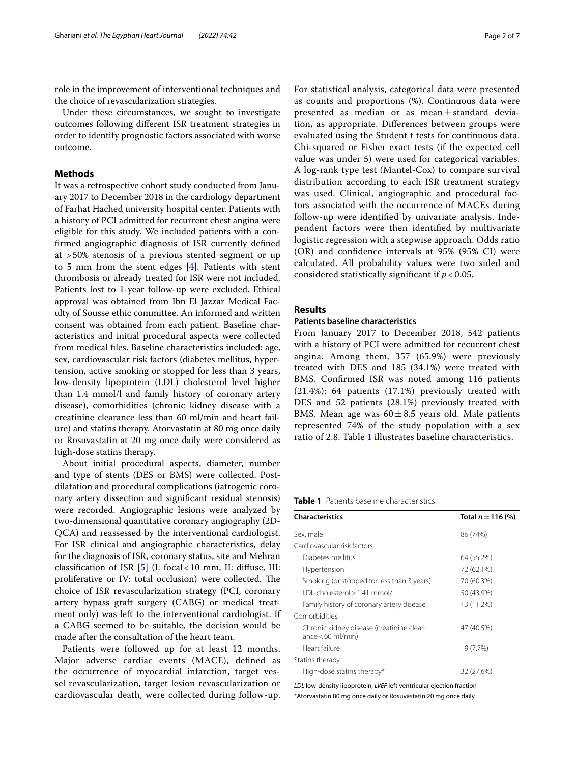role in the improvement of interventional techniques and the choice of revascularization strategies.

Under these circumstances, we sought to investigate outcomes following diferent ISR treatment strategies in order to identify prognostic factors associated with worse outcome.

# **Methods**

It was a retrospective cohort study conducted from January 2017 to December 2018 in the cardiology department of Farhat Hached university hospital center. Patients with a history of PCI admitted for recurrent chest angina were eligible for this study. We included patients with a confrmed angiographic diagnosis of ISR currently defned at >50% stenosis of a previous stented segment or up to 5 mm from the stent edges [\[4](#page-5-3)]. Patients with stent thrombosis or already treated for ISR were not included. Patients lost to 1-year follow-up were excluded. Ethical approval was obtained from Ibn El Jazzar Medical Faculty of Sousse ethic committee. An informed and written consent was obtained from each patient. Baseline characteristics and initial procedural aspects were collected from medical fles. Baseline characteristics included: age, sex, cardiovascular risk factors (diabetes mellitus, hypertension, active smoking or stopped for less than 3 years, low-density lipoprotein (LDL) cholesterol level higher than 1.4 mmol/l and family history of coronary artery disease), comorbidities (chronic kidney disease with a creatinine clearance less than 60 ml/min and heart failure) and statins therapy. Atorvastatin at 80 mg once daily or Rosuvastatin at 20 mg once daily were considered as high-dose statins therapy.

About initial procedural aspects, diameter, number and type of stents (DES or BMS) were collected. Postdilatation and procedural complications (iatrogenic coronary artery dissection and signifcant residual stenosis) were recorded. Angiographic lesions were analyzed by two-dimensional quantitative coronary angiography (2D-QCA) and reassessed by the interventional cardiologist. For ISR clinical and angiographic characteristics, delay for the diagnosis of ISR, coronary status, site and Mehran classifcation of ISR [[5\]](#page-5-4) (I: focal<10 mm, II: difuse, III: proliferative or IV: total occlusion) were collected. The choice of ISR revascularization strategy (PCI, coronary artery bypass graft surgery (CABG) or medical treatment only) was left to the interventional cardiologist. If a CABG seemed to be suitable, the decision would be made after the consultation of the heart team.

Patients were followed up for at least 12 months. Major adverse cardiac events (MACE), defned as the occurrence of myocardial infarction, target vessel revascularization, target lesion revascularization or cardiovascular death, were collected during follow-up. For statistical analysis, categorical data were presented as counts and proportions (%). Continuous data were presented as median or as mean $\pm$ standard deviation, as appropriate. Diferences between groups were evaluated using the Student t tests for continuous data. Chi-squared or Fisher exact tests (if the expected cell value was under 5) were used for categorical variables. A log-rank type test (Mantel-Cox) to compare survival distribution according to each ISR treatment strategy was used. Clinical, angiographic and procedural factors associated with the occurrence of MACEs during follow-up were identifed by univariate analysis. Independent factors were then identifed by multivariate logistic regression with a stepwise approach. Odds ratio (OR) and confdence intervals at 95% (95% CI) were calculated. All probability values were two sided and considered statistically significant if  $p < 0.05$ .

# **Results**

#### **Patients baseline characteristics**

From January 2017 to December 2018, 542 patients with a history of PCI were admitted for recurrent chest angina. Among them, 357 (65.9%) were previously treated with DES and 185 (34.1%) were treated with BMS. Confrmed ISR was noted among 116 patients (21.4%): 64 patients (17.1%) previously treated with DES and 52 patients (28.1%) previously treated with BMS. Mean age was  $60 \pm 8.5$  years old. Male patients represented 74% of the study population with a sex ratio of 2.8. Table [1](#page-1-0) illustrates baseline characteristics.

<span id="page-1-0"></span>**Table 1** Patients baseline characteristics

| <b>Characteristics</b>                                              | Total $n = 116$ (%) |
|---------------------------------------------------------------------|---------------------|
| Sex, male                                                           | 86 (74%)            |
| Cardiovascular risk factors                                         |                     |
| Diabetes mellitus                                                   | 64 (55.2%)          |
| Hypertension                                                        | 72 (62.1%)          |
| Smoking (or stopped for less than 3 years)                          | 70 (60.3%)          |
| IDI-cholesterol > 1.41 mmol/l                                       | 50 (43.9%)          |
| Family history of coronary artery disease                           | 13 (11.2%)          |
| Comorbidities                                                       |                     |
| Chronic kidney disease (creatinine clear-<br>$ance < 60$ ml/min $)$ | 47 (40.5%)          |
| Heart failure                                                       | $9(7.7\%)$          |
| Statins therapy                                                     |                     |
| High-dose statins therapy*                                          | 32 (27.6%)          |

*LDL* low-density lipoprotein, *LVEF* left ventricular ejection fraction \*Atorvastatin 80 mg once daily or Rosuvastatin 20 mg once daily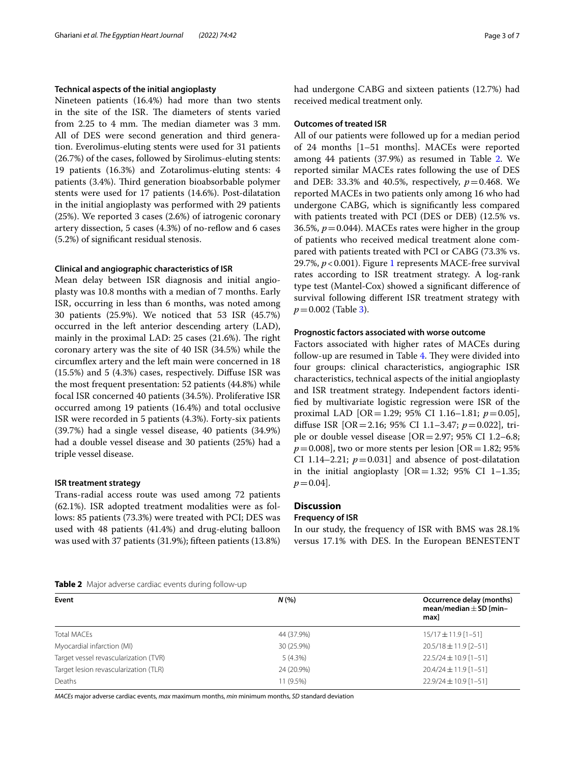## **Technical aspects of the initial angioplasty**

Nineteen patients (16.4%) had more than two stents in the site of the ISR. The diameters of stents varied from 2.25 to 4 mm. The median diameter was 3 mm. All of DES were second generation and third generation. Everolimus-eluting stents were used for 31 patients (26.7%) of the cases, followed by Sirolimus-eluting stents: 19 patients (16.3%) and Zotarolimus-eluting stents: 4 patients (3.4%). Third generation bioabsorbable polymer stents were used for 17 patients (14.6%). Post-dilatation in the initial angioplasty was performed with 29 patients (25%). We reported 3 cases (2.6%) of iatrogenic coronary artery dissection, 5 cases (4.3%) of no-refow and 6 cases (5.2%) of signifcant residual stenosis.

## **Clinical and angiographic characteristics of ISR**

Mean delay between ISR diagnosis and initial angioplasty was 10.8 months with a median of 7 months. Early ISR, occurring in less than 6 months, was noted among 30 patients (25.9%). We noticed that 53 ISR (45.7%) occurred in the left anterior descending artery (LAD), mainly in the proximal LAD:  $25$  cases  $(21.6%)$ . The right coronary artery was the site of 40 ISR (34.5%) while the circumfex artery and the left main were concerned in 18 (15.5%) and 5 (4.3%) cases, respectively. Difuse ISR was the most frequent presentation: 52 patients (44.8%) while focal ISR concerned 40 patients (34.5%). Proliferative ISR occurred among 19 patients (16.4%) and total occlusive ISR were recorded in 5 patients (4.3%). Forty-six patients (39.7%) had a single vessel disease, 40 patients (34.9%) had a double vessel disease and 30 patients (25%) had a triple vessel disease.

#### **ISR treatment strategy**

Trans-radial access route was used among 72 patients (62.1%). ISR adopted treatment modalities were as follows: 85 patients (73.3%) were treated with PCI; DES was used with 48 patients (41.4%) and drug-eluting balloon was used with 37 patients (31.9%); ffteen patients (13.8%) had undergone CABG and sixteen patients (12.7%) had received medical treatment only.

# **Outcomes of treated ISR**

All of our patients were followed up for a median period of 24 months [1–51 months]. MACEs were reported among 44 patients (37.9%) as resumed in Table [2](#page-2-0). We reported similar MACEs rates following the use of DES and DEB: 33.3% and 40.5%, respectively,  $p = 0.468$ . We reported MACEs in two patients only among 16 who had undergone CABG, which is signifcantly less compared with patients treated with PCI (DES or DEB) (12.5% vs. 36.5%,  $p = 0.044$ ). MACEs rates were higher in the group of patients who received medical treatment alone compared with patients treated with PCI or CABG (73.3% vs. 29.7%, *p*<0.001). Figure [1](#page-3-0) represents MACE-free survival rates according to ISR treatment strategy. A log-rank type test (Mantel-Cox) showed a signifcant diference of survival following diferent ISR treatment strategy with *p*=0.002 (Table [3](#page-3-1)).

## **Prognostic factors associated with worse outcome**

Factors associated with higher rates of MACEs during follow-up are resumed in Table [4](#page-4-0). They were divided into four groups: clinical characteristics, angiographic ISR characteristics, technical aspects of the initial angioplasty and ISR treatment strategy. Independent factors identifed by multivariate logistic regression were ISR of the proximal LAD [OR=1.29; 95% CI 1.16–1.81; *p*=0.05], difuse ISR [OR=2.16; 95% CI 1.1–3.47; *p*=0.022], triple or double vessel disease [OR=2.97; 95% CI 1.2–6.8;  $p=0.008$ ], two or more stents per lesion [OR = 1.82; 95%] CI 1.14–2.21;  $p=0.031$ ] and absence of post-dilatation in the initial angioplasty  $[OR=1.32; 95% \text{ CI } 1-1.35;$  $p = 0.04$ .

# **Discussion**

#### **Frequency of ISR**

In our study, the frequency of ISR with BMS was 28.1% versus 17.1% with DES. In the European BENESTENT

```
Table 2 Major adverse cardiac events during follow-up
```

| Event                                 | N(%        | Occurrence delay (months)<br>mean/median $\pm$ SD [min-<br>max] |  |  |
|---------------------------------------|------------|-----------------------------------------------------------------|--|--|
| <b>Total MACEs</b>                    | 44 (37.9%) | 15/17±11.9 [1-51]                                               |  |  |
| Myocardial infarction (MI)            | 30 (25.9%) | $20.5/18 \pm 11.9$ [2-51]                                       |  |  |
| Target vessel revascularization (TVR) | $5(4.3\%)$ | $22.5/24 \pm 10.9$ [1-51]                                       |  |  |
| Target lesion revascularization (TLR) | 24 (20.9%) | $20.4/24 \pm 11.9$ [1-51]                                       |  |  |
| Deaths                                | 11 (9.5%)  | $22.9/24 \pm 10.9$ [1-51]                                       |  |  |
|                                       |            |                                                                 |  |  |

*MACEs* major adverse cardiac events, *max* maximum months, *min* minimum months, *SD* standard deviation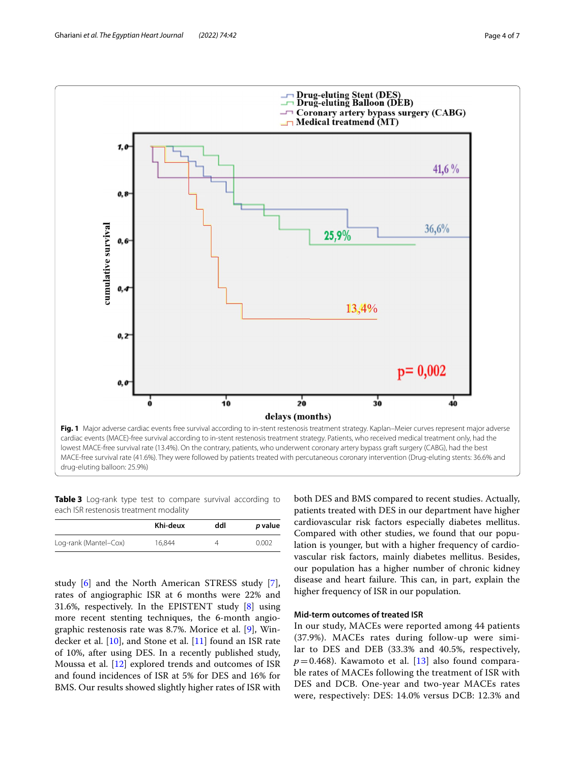

<span id="page-3-1"></span><span id="page-3-0"></span>**Table 3** Log-rank type test to compare survival according to each ISR restenosis treatment modality

|                       | Khi-deux | ddl | p value |
|-----------------------|----------|-----|---------|
| Log-rank (Mantel-Cox) | 16.844   |     | 0.002   |

study [[6\]](#page-5-5) and the North American STRESS study [\[7](#page-5-6)], rates of angiographic ISR at 6 months were 22% and 31.6%, respectively. In the EPISTENT study [[8](#page-6-0)] using more recent stenting techniques, the 6-month angiographic restenosis rate was 8.7%. Morice et al. [[9\]](#page-6-1), Windecker et al. [\[10\]](#page-6-2), and Stone et al. [[11](#page-6-3)] found an ISR rate of 10%, after using DES. In a recently published study, Moussa et al. [[12](#page-6-4)] explored trends and outcomes of ISR and found incidences of ISR at 5% for DES and 16% for BMS. Our results showed slightly higher rates of ISR with both DES and BMS compared to recent studies. Actually, patients treated with DES in our department have higher cardiovascular risk factors especially diabetes mellitus. Compared with other studies, we found that our population is younger, but with a higher frequency of cardiovascular risk factors, mainly diabetes mellitus. Besides, our population has a higher number of chronic kidney disease and heart failure. This can, in part, explain the higher frequency of ISR in our population.

# **Mid‑term outcomes of treated ISR**

In our study, MACEs were reported among 44 patients (37.9%). MACEs rates during follow-up were similar to DES and DEB (33.3% and 40.5%, respectively,  $p=0.468$ ). Kawamoto et al. [\[13](#page-6-5)] also found comparable rates of MACEs following the treatment of ISR with DES and DCB. One-year and two-year MACEs rates were, respectively: DES: 14.0% versus DCB: 12.3% and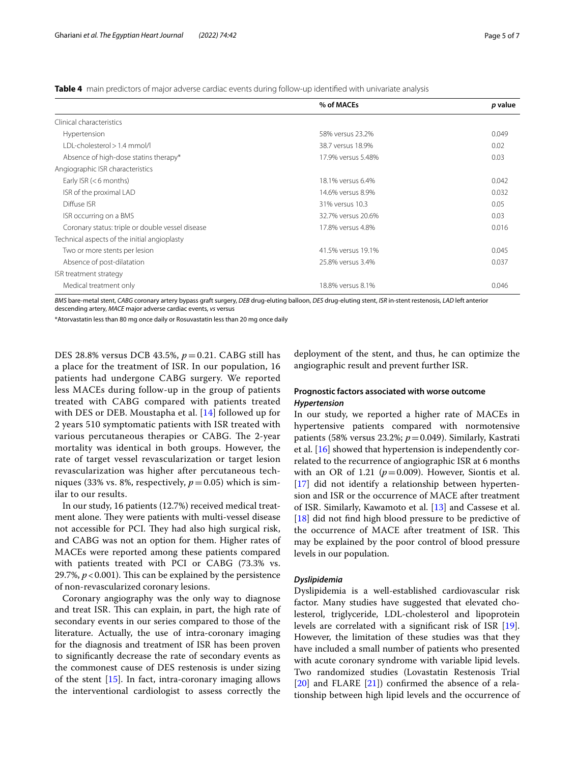<span id="page-4-0"></span>**Table 4** main predictors of major adverse cardiac events during follow-up identifed with univariate analysis

|                                                  | % of MACEs         | p value |
|--------------------------------------------------|--------------------|---------|
| Clinical characteristics                         |                    |         |
| Hypertension                                     | 58% versus 23.2%   | 0.049   |
| I DI-cholesterol > 1.4 mmol/l                    | 38.7 versus 18.9%  | 0.02    |
| Absence of high-dose statins therapy*            | 17.9% versus 5.48% | 0.03    |
| Angiographic ISR characteristics                 |                    |         |
| Early ISR $(< 6$ months)                         | 18.1% versus 6.4%  | 0.042   |
| ISR of the proximal LAD                          | 14.6% versus 8.9%  | 0.032   |
| Diffuse ISR                                      | 31% versus 10.3    | 0.05    |
| ISR occurring on a BMS                           | 32.7% versus 20.6% | 0.03    |
| Coronary status: triple or double vessel disease | 17.8% versus 4.8%  | 0.016   |
| Technical aspects of the initial angioplasty     |                    |         |
| Two or more stents per lesion                    | 41.5% versus 19.1% | 0.045   |
| Absence of post-dilatation                       | 25.8% versus 3.4%  | 0.037   |
| ISR treatment strategy                           |                    |         |
| Medical treatment only                           | 18.8% versus 8.1%  | 0.046   |

*BMS* bare-metal stent, *CABG* coronary artery bypass graft surgery, *DEB* drug-eluting balloon, *DES* drug-eluting stent, *ISR* in-stent restenosis, *LAD* left anterior descending artery, *MACE* major adverse cardiac events, *vs* versus

\*Atorvastatin less than 80 mg once daily or Rosuvastatin less than 20 mg once daily

DES 28.8% versus DCB 43.5%, *p*=0.21. CABG still has a place for the treatment of ISR. In our population, 16 patients had undergone CABG surgery. We reported less MACEs during follow-up in the group of patients treated with CABG compared with patients treated with DES or DEB. Moustapha et al. [\[14\]](#page-6-6) followed up for 2 years 510 symptomatic patients with ISR treated with various percutaneous therapies or CABG. The 2-year mortality was identical in both groups. However, the rate of target vessel revascularization or target lesion revascularization was higher after percutaneous techniques (33% vs. 8%, respectively,  $p = 0.05$ ) which is similar to our results.

In our study, 16 patients (12.7%) received medical treatment alone. They were patients with multi-vessel disease not accessible for PCI. They had also high surgical risk, and CABG was not an option for them. Higher rates of MACEs were reported among these patients compared with patients treated with PCI or CABG (73.3% vs. 29.7%,  $p < 0.001$ ). This can be explained by the persistence of non-revascularized coronary lesions.

Coronary angiography was the only way to diagnose and treat ISR. This can explain, in part, the high rate of secondary events in our series compared to those of the literature. Actually, the use of intra-coronary imaging for the diagnosis and treatment of ISR has been proven to signifcantly decrease the rate of secondary events as the commonest cause of DES restenosis is under sizing of the stent  $[15]$ . In fact, intra-coronary imaging allows the interventional cardiologist to assess correctly the

deployment of the stent, and thus, he can optimize the angiographic result and prevent further ISR.

# **Prognostic factors associated with worse outcome** *Hypertension*

In our study, we reported a higher rate of MACEs in hypertensive patients compared with normotensive patients (58% versus 23.2%;  $p = 0.049$ ). Similarly, Kastrati et al. [\[16](#page-6-8)] showed that hypertension is independently correlated to the recurrence of angiographic ISR at 6 months with an OR of 1.21 ( $p=0.009$ ). However, Siontis et al. [[17\]](#page-6-9) did not identify a relationship between hypertension and ISR or the occurrence of MACE after treatment of ISR. Similarly, Kawamoto et al. [[13\]](#page-6-5) and Cassese et al. [[18\]](#page-6-10) did not find high blood pressure to be predictive of the occurrence of MACE after treatment of ISR. This may be explained by the poor control of blood pressure levels in our population.

## *Dyslipidemia*

Dyslipidemia is a well-established cardiovascular risk factor. Many studies have suggested that elevated cholesterol, triglyceride, LDL-cholesterol and lipoprotein levels are correlated with a signifcant risk of ISR [\[19](#page-6-11)]. However, the limitation of these studies was that they have included a small number of patients who presented with acute coronary syndrome with variable lipid levels. Two randomized studies (Lovastatin Restenosis Trial [[20\]](#page-6-12) and FLARE [[21](#page-6-13)]) confirmed the absence of a relationship between high lipid levels and the occurrence of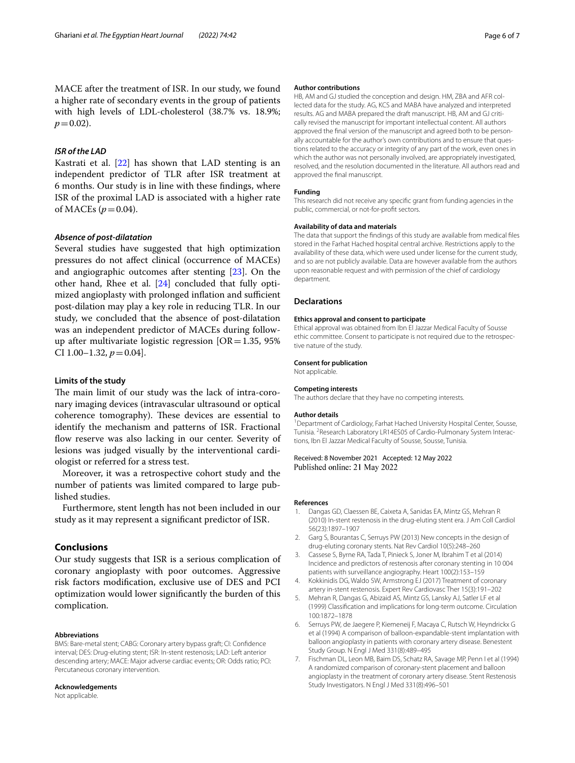MACE after the treatment of ISR. In our study, we found a higher rate of secondary events in the group of patients with high levels of LDL-cholesterol (38.7% vs. 18.9%;  $p = 0.02$ ).

# *ISR of the LAD*

Kastrati et al. [[22\]](#page-6-14) has shown that LAD stenting is an independent predictor of TLR after ISR treatment at 6 months. Our study is in line with these fndings, where ISR of the proximal LAD is associated with a higher rate of MACEs ( $p = 0.04$ ).

# *Absence of post‑dilatation*

Several studies have suggested that high optimization pressures do not afect clinical (occurrence of MACEs) and angiographic outcomes after stenting [[23\]](#page-6-15). On the other hand, Rhee et al. [[24\]](#page-6-16) concluded that fully optimized angioplasty with prolonged inflation and sufficient post-dilation may play a key role in reducing TLR. In our study, we concluded that the absence of post-dilatation was an independent predictor of MACEs during followup after multivariate logistic regression  $[OR=1.35, 95%$ CI 1.00-1.32,  $p = 0.04$ .

#### **Limits of the study**

The main limit of our study was the lack of intra-coronary imaging devices (intravascular ultrasound or optical coherence tomography). These devices are essential to identify the mechanism and patterns of ISR. Fractional flow reserve was also lacking in our center. Severity of lesions was judged visually by the interventional cardiologist or referred for a stress test.

Moreover, it was a retrospective cohort study and the number of patients was limited compared to large published studies.

Furthermore, stent length has not been included in our study as it may represent a signifcant predictor of ISR.

## **Conclusions**

Our study suggests that ISR is a serious complication of coronary angioplasty with poor outcomes. Aggressive risk factors modifcation, exclusive use of DES and PCI optimization would lower signifcantly the burden of this complication.

#### **Abbreviations**

BMS: Bare-metal stent; CABG: Coronary artery bypass graft; CI: Confdence interval; DES: Drug-eluting stent; ISR: In-stent restenosis; LAD: Left anterior descending artery; MACE: Major adverse cardiac events; OR: Odds ratio; PCI: Percutaneous coronary intervention.

#### **Acknowledgements**

Not applicable.

#### **Author contributions**

HB, AM and GJ studied the conception and design. HM, ZBA and AFR collected data for the study. AG, KCS and MABA have analyzed and interpreted results. AG and MABA prepared the draft manuscript. HB, AM and GJ critically revised the manuscript for important intellectual content. All authors approved the fnal version of the manuscript and agreed both to be personally accountable for the author's own contributions and to ensure that questions related to the accuracy or integrity of any part of the work, even ones in which the author was not personally involved, are appropriately investigated, resolved, and the resolution documented in the literature. All authors read and approved the fnal manuscript.

#### **Funding**

This research did not receive any specifc grant from funding agencies in the public, commercial, or not-for-proft sectors.

#### **Availability of data and materials**

The data that support the fndings of this study are available from medical fles stored in the Farhat Hached hospital central archive. Restrictions apply to the availability of these data, which were used under license for the current study, and so are not publicly available. Data are however available from the authors upon reasonable request and with permission of the chief of cardiology department.

#### **Declarations**

#### **Ethics approval and consent to participate**

Ethical approval was obtained from Ibn El Jazzar Medical Faculty of Sousse ethic committee. Consent to participate is not required due to the retrospective nature of the study.

#### **Consent for publication**

Not applicable.

#### **Competing interests**

The authors declare that they have no competing interests.

#### **Author details**

<sup>1</sup> Department of Cardiology, Farhat Hached University Hospital Center, Sousse, Tunisia. <sup>2</sup> Research Laboratory LR14ES05 of Cardio-Pulmonary System Interactions, Ibn El Jazzar Medical Faculty of Sousse, Sousse, Tunisia.

## Received: 8 November 2021 Accepted: 12 May 2022 Published online: 21 May 2022

#### **References**

- <span id="page-5-0"></span>1. Dangas GD, Claessen BE, Caixeta A, Sanidas EA, Mintz GS, Mehran R (2010) In-stent restenosis in the drug-eluting stent era. J Am Coll Cardiol 56(23):1897–1907
- <span id="page-5-1"></span>2. Garg S, Bourantas C, Serruys PW (2013) New concepts in the design of drug-eluting coronary stents. Nat Rev Cardiol 10(5):248–260
- <span id="page-5-2"></span>3. Cassese S, Byrne RA, Tada T, Pinieck S, Joner M, Ibrahim T et al (2014) Incidence and predictors of restenosis after coronary stenting in 10 004 patients with surveillance angiography. Heart 100(2):153–159
- <span id="page-5-3"></span>4. Kokkinidis DG, Waldo SW, Armstrong EJ (2017) Treatment of coronary artery in-stent restenosis. Expert Rev Cardiovasc Ther 15(3):191–202
- <span id="page-5-4"></span>5. Mehran R, Dangas G, Abizaid AS, Mintz GS, Lansky AJ, Satler LF et al (1999) Classifcation and implications for long-term outcome. Circulation 100:1872–1878
- <span id="page-5-5"></span>6. Serruys PW, de Jaegere P, Kiemeneij F, Macaya C, Rutsch W, Heyndrickx G et al (1994) A comparison of balloon-expandable-stent implantation with balloon angioplasty in patients with coronary artery disease. Benestent Study Group. N Engl J Med 331(8):489–495
- <span id="page-5-6"></span>7. Fischman DL, Leon MB, Baim DS, Schatz RA, Savage MP, Penn I et al (1994) A randomized comparison of coronary-stent placement and balloon angioplasty in the treatment of coronary artery disease. Stent Restenosis Study Investigators. N Engl J Med 331(8):496–501